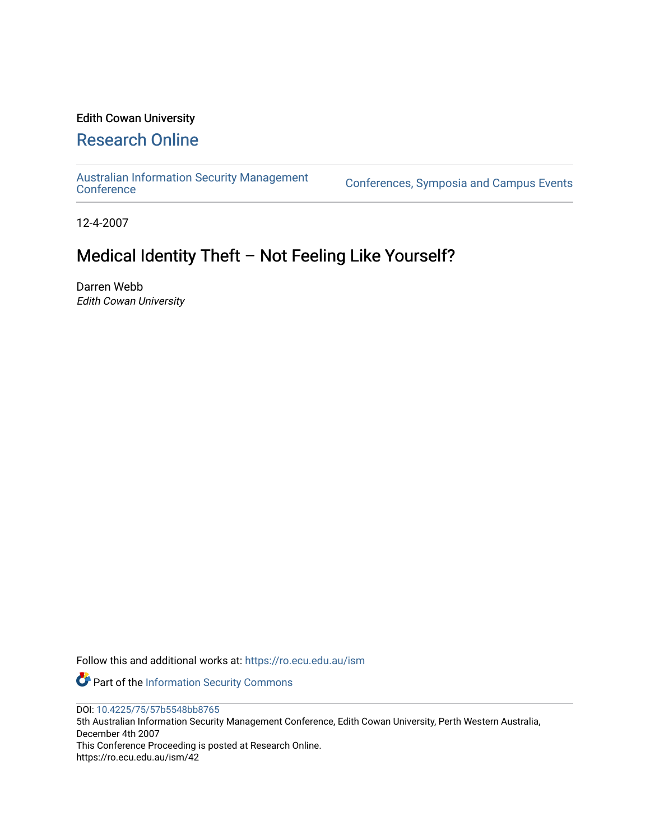# Edith Cowan University

## [Research Online](https://ro.ecu.edu.au/)

[Australian Information Security Management](https://ro.ecu.edu.au/ism) 

[Conference](https://ro.ecu.edu.au/ism)s, Symposia and Campus Events

12-4-2007

## Medical Identity Theft – Not Feeling Like Yourself?

Darren Webb Edith Cowan University

Follow this and additional works at: [https://ro.ecu.edu.au/ism](https://ro.ecu.edu.au/ism?utm_source=ro.ecu.edu.au%2Fism%2F42&utm_medium=PDF&utm_campaign=PDFCoverPages) 

Part of the [Information Security Commons](http://network.bepress.com/hgg/discipline/1247?utm_source=ro.ecu.edu.au%2Fism%2F42&utm_medium=PDF&utm_campaign=PDFCoverPages) 

DOI: [10.4225/75/57b5548bb8765](https://doi.org/10.4225/75/57b5548bb8765) 

5th Australian Information Security Management Conference, Edith Cowan University, Perth Western Australia, December 4th 2007 This Conference Proceeding is posted at Research Online.

https://ro.ecu.edu.au/ism/42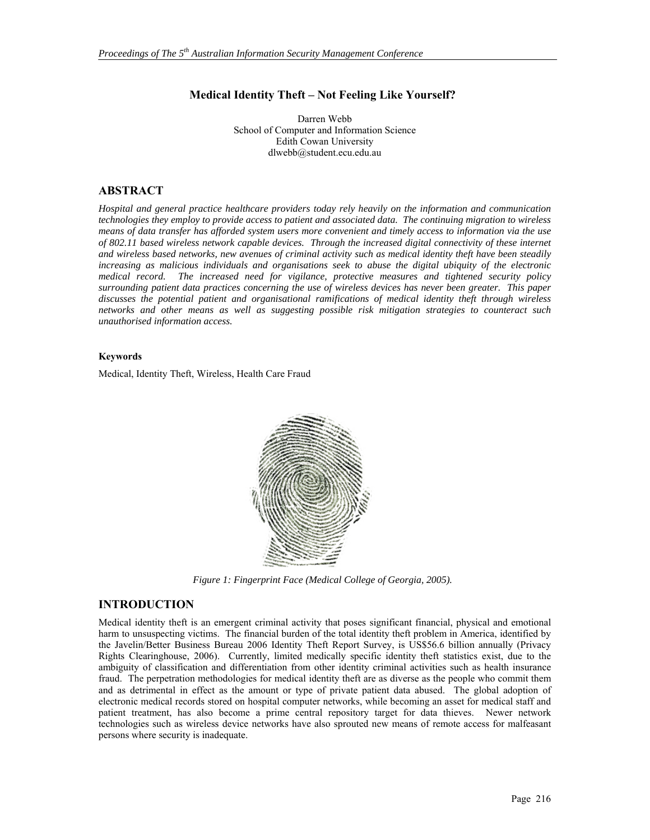#### **Medical Identity Theft – Not Feeling Like Yourself?**

Darren Webb School of Computer and Information Science Edith Cowan University dlwebb@student.ecu.edu.au

#### **ABSTRACT**

*Hospital and general practice healthcare providers today rely heavily on the information and communication technologies they employ to provide access to patient and associated data. The continuing migration to wireless means of data transfer has afforded system users more convenient and timely access to information via the use of 802.11 based wireless network capable devices. Through the increased digital connectivity of these internet and wireless based networks, new avenues of criminal activity such as medical identity theft have been steadily increasing as malicious individuals and organisations seek to abuse the digital ubiquity of the electronic medical record. The increased need for vigilance, protective measures and tightened security policy surrounding patient data practices concerning the use of wireless devices has never been greater. This paper discusses the potential patient and organisational ramifications of medical identity theft through wireless networks and other means as well as suggesting possible risk mitigation strategies to counteract such unauthorised information access.* 

#### **Keywords**

Medical, Identity Theft, Wireless, Health Care Fraud



*Figure 1: Fingerprint Face (Medical College of Georgia, 2005).* 

#### **INTRODUCTION**

Medical identity theft is an emergent criminal activity that poses significant financial, physical and emotional harm to unsuspecting victims. The financial burden of the total identity theft problem in America, identified by the Javelin/Better Business Bureau 2006 Identity Theft Report Survey, is US\$56.6 billion annually (Privacy Rights Clearinghouse, 2006). Currently, limited medically specific identity theft statistics exist, due to the ambiguity of classification and differentiation from other identity criminal activities such as health insurance fraud. The perpetration methodologies for medical identity theft are as diverse as the people who commit them and as detrimental in effect as the amount or type of private patient data abused. The global adoption of electronic medical records stored on hospital computer networks, while becoming an asset for medical staff and patient treatment, has also become a prime central repository target for data thieves. Newer network technologies such as wireless device networks have also sprouted new means of remote access for malfeasant persons where security is inadequate.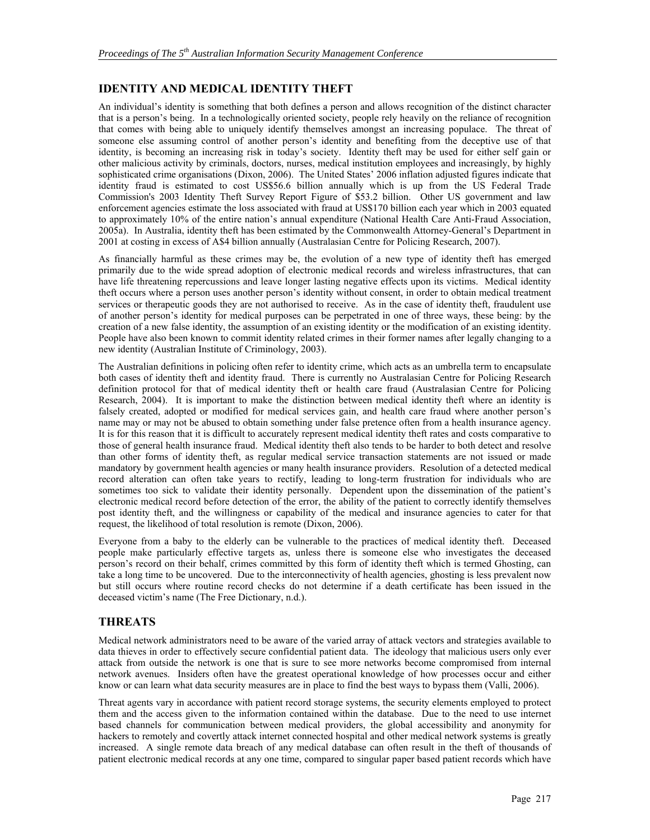## **IDENTITY AND MEDICAL IDENTITY THEFT**

An individual's identity is something that both defines a person and allows recognition of the distinct character that is a person's being. In a technologically oriented society, people rely heavily on the reliance of recognition that comes with being able to uniquely identify themselves amongst an increasing populace. The threat of someone else assuming control of another person's identity and benefiting from the deceptive use of that identity, is becoming an increasing risk in today's society. Identity theft may be used for either self gain or other malicious activity by criminals, doctors, nurses, medical institution employees and increasingly, by highly sophisticated crime organisations (Dixon, 2006). The United States' 2006 inflation adjusted figures indicate that identity fraud is estimated to cost US\$56.6 billion annually which is up from the US Federal Trade Commission's 2003 Identity Theft Survey Report Figure of \$53.2 billion. Other US government and law enforcement agencies estimate the loss associated with fraud at US\$170 billion each year which in 2003 equated to approximately 10% of the entire nation's annual expenditure (National Health Care Anti-Fraud Association, 2005a). In Australia, identity theft has been estimated by the Commonwealth Attorney-General's Department in 2001 at costing in excess of A\$4 billion annually (Australasian Centre for Policing Research, 2007).

As financially harmful as these crimes may be, the evolution of a new type of identity theft has emerged primarily due to the wide spread adoption of electronic medical records and wireless infrastructures, that can have life threatening repercussions and leave longer lasting negative effects upon its victims. Medical identity theft occurs where a person uses another person's identity without consent, in order to obtain medical treatment services or therapeutic goods they are not authorised to receive. As in the case of identity theft, fraudulent use of another person's identity for medical purposes can be perpetrated in one of three ways, these being: by the creation of a new false identity, the assumption of an existing identity or the modification of an existing identity. People have also been known to commit identity related crimes in their former names after legally changing to a new identity (Australian Institute of Criminology, 2003).

The Australian definitions in policing often refer to identity crime, which acts as an umbrella term to encapsulate both cases of identity theft and identity fraud. There is currently no Australasian Centre for Policing Research definition protocol for that of medical identity theft or health care fraud (Australasian Centre for Policing Research, 2004). It is important to make the distinction between medical identity theft where an identity is falsely created, adopted or modified for medical services gain, and health care fraud where another person's name may or may not be abused to obtain something under false pretence often from a health insurance agency. It is for this reason that it is difficult to accurately represent medical identity theft rates and costs comparative to those of general health insurance fraud. Medical identity theft also tends to be harder to both detect and resolve than other forms of identity theft, as regular medical service transaction statements are not issued or made mandatory by government health agencies or many health insurance providers. Resolution of a detected medical record alteration can often take years to rectify, leading to long-term frustration for individuals who are sometimes too sick to validate their identity personally. Dependent upon the dissemination of the patient's electronic medical record before detection of the error, the ability of the patient to correctly identify themselves post identity theft, and the willingness or capability of the medical and insurance agencies to cater for that request, the likelihood of total resolution is remote (Dixon, 2006).

Everyone from a baby to the elderly can be vulnerable to the practices of medical identity theft. Deceased people make particularly effective targets as, unless there is someone else who investigates the deceased person's record on their behalf, crimes committed by this form of identity theft which is termed Ghosting, can take a long time to be uncovered. Due to the interconnectivity of health agencies, ghosting is less prevalent now but still occurs where routine record checks do not determine if a death certificate has been issued in the deceased victim's name (The Free Dictionary, n.d.).

### **THREATS**

Medical network administrators need to be aware of the varied array of attack vectors and strategies available to data thieves in order to effectively secure confidential patient data. The ideology that malicious users only ever attack from outside the network is one that is sure to see more networks become compromised from internal network avenues. Insiders often have the greatest operational knowledge of how processes occur and either know or can learn what data security measures are in place to find the best ways to bypass them (Valli, 2006).

Threat agents vary in accordance with patient record storage systems, the security elements employed to protect them and the access given to the information contained within the database. Due to the need to use internet based channels for communication between medical providers, the global accessibility and anonymity for hackers to remotely and covertly attack internet connected hospital and other medical network systems is greatly increased. A single remote data breach of any medical database can often result in the theft of thousands of patient electronic medical records at any one time, compared to singular paper based patient records which have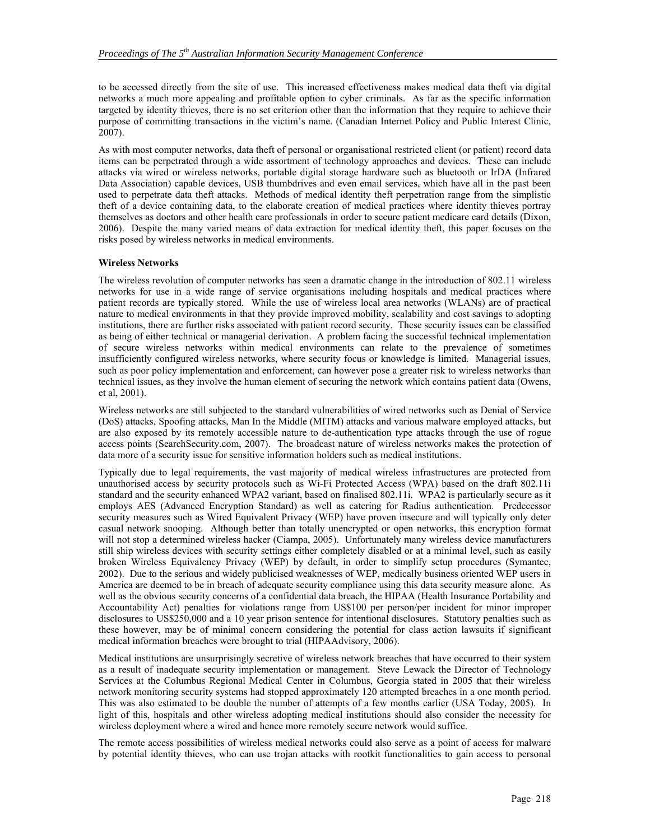to be accessed directly from the site of use. This increased effectiveness makes medical data theft via digital networks a much more appealing and profitable option to cyber criminals. As far as the specific information targeted by identity thieves, there is no set criterion other than the information that they require to achieve their purpose of committing transactions in the victim's name. (Canadian Internet Policy and Public Interest Clinic, 2007).

As with most computer networks, data theft of personal or organisational restricted client (or patient) record data items can be perpetrated through a wide assortment of technology approaches and devices. These can include attacks via wired or wireless networks, portable digital storage hardware such as bluetooth or IrDA (Infrared Data Association) capable devices, USB thumbdrives and even email services, which have all in the past been used to perpetrate data theft attacks. Methods of medical identity theft perpetration range from the simplistic theft of a device containing data, to the elaborate creation of medical practices where identity thieves portray themselves as doctors and other health care professionals in order to secure patient medicare card details (Dixon, 2006). Despite the many varied means of data extraction for medical identity theft, this paper focuses on the risks posed by wireless networks in medical environments.

#### **Wireless Networks**

The wireless revolution of computer networks has seen a dramatic change in the introduction of 802.11 wireless networks for use in a wide range of service organisations including hospitals and medical practices where patient records are typically stored. While the use of wireless local area networks (WLANs) are of practical nature to medical environments in that they provide improved mobility, scalability and cost savings to adopting institutions, there are further risks associated with patient record security. These security issues can be classified as being of either technical or managerial derivation. A problem facing the successful technical implementation of secure wireless networks within medical environments can relate to the prevalence of sometimes insufficiently configured wireless networks, where security focus or knowledge is limited. Managerial issues, such as poor policy implementation and enforcement, can however pose a greater risk to wireless networks than technical issues, as they involve the human element of securing the network which contains patient data (Owens, et al, 2001).

Wireless networks are still subjected to the standard vulnerabilities of wired networks such as Denial of Service (DoS) attacks, Spoofing attacks, Man In the Middle (MITM) attacks and various malware employed attacks, but are also exposed by its remotely accessible nature to de-authentication type attacks through the use of rogue access points (SearchSecurity.com, 2007). The broadcast nature of wireless networks makes the protection of data more of a security issue for sensitive information holders such as medical institutions.

Typically due to legal requirements, the vast majority of medical wireless infrastructures are protected from unauthorised access by security protocols such as Wi-Fi Protected Access (WPA) based on the draft 802.11i standard and the security enhanced WPA2 variant, based on finalised 802.11i. WPA2 is particularly secure as it employs AES (Advanced Encryption Standard) as well as catering for Radius authentication. Predecessor security measures such as Wired Equivalent Privacy (WEP) have proven insecure and will typically only deter casual network snooping. Although better than totally unencrypted or open networks, this encryption format will not stop a determined wireless hacker (Ciampa, 2005). Unfortunately many wireless device manufacturers still ship wireless devices with security settings either completely disabled or at a minimal level, such as easily broken Wireless Equivalency Privacy (WEP) by default, in order to simplify setup procedures (Symantec, 2002). Due to the serious and widely publicised weaknesses of WEP, medically business oriented WEP users in America are deemed to be in breach of adequate security compliance using this data security measure alone. As well as the obvious security concerns of a confidential data breach, the HIPAA (Health Insurance Portability and Accountability Act) penalties for violations range from US\$100 per person/per incident for minor improper disclosures to US\$250,000 and a 10 year prison sentence for intentional disclosures. Statutory penalties such as these however, may be of minimal concern considering the potential for class action lawsuits if significant medical information breaches were brought to trial (HIPAAdvisory, 2006).

Medical institutions are unsurprisingly secretive of wireless network breaches that have occurred to their system as a result of inadequate security implementation or management. Steve Lewack the Director of Technology Services at the Columbus Regional Medical Center in Columbus, Georgia stated in 2005 that their wireless network monitoring security systems had stopped approximately 120 attempted breaches in a one month period. This was also estimated to be double the number of attempts of a few months earlier (USA Today, 2005). In light of this, hospitals and other wireless adopting medical institutions should also consider the necessity for wireless deployment where a wired and hence more remotely secure network would suffice.

The remote access possibilities of wireless medical networks could also serve as a point of access for malware by potential identity thieves, who can use trojan attacks with rootkit functionalities to gain access to personal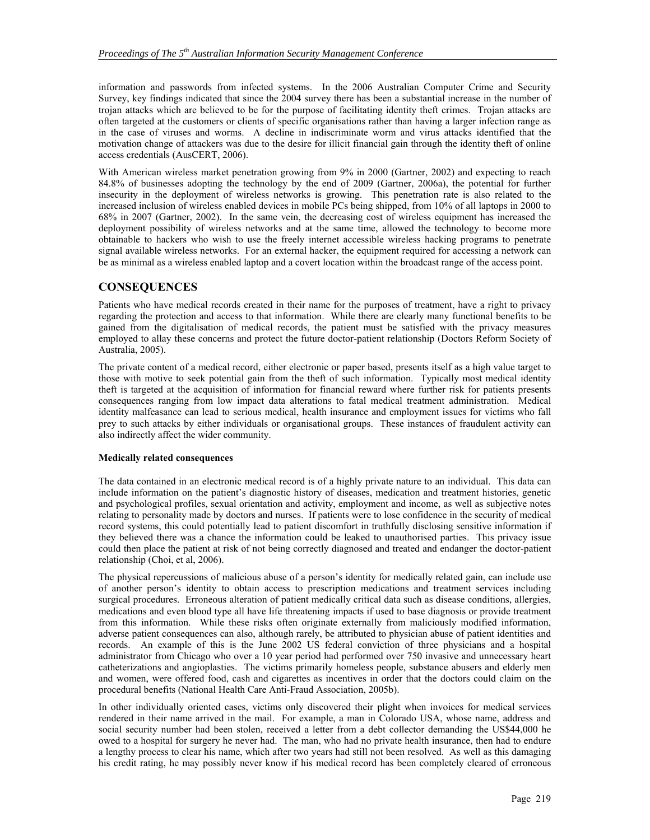information and passwords from infected systems. In the 2006 Australian Computer Crime and Security Survey, key findings indicated that since the 2004 survey there has been a substantial increase in the number of trojan attacks which are believed to be for the purpose of facilitating identity theft crimes. Trojan attacks are often targeted at the customers or clients of specific organisations rather than having a larger infection range as in the case of viruses and worms. A decline in indiscriminate worm and virus attacks identified that the motivation change of attackers was due to the desire for illicit financial gain through the identity theft of online access credentials (AusCERT, 2006).

With American wireless market penetration growing from 9% in 2000 (Gartner, 2002) and expecting to reach 84.8% of businesses adopting the technology by the end of 2009 (Gartner, 2006a), the potential for further insecurity in the deployment of wireless networks is growing. This penetration rate is also related to the increased inclusion of wireless enabled devices in mobile PCs being shipped, from 10% of all laptops in 2000 to 68% in 2007 (Gartner, 2002). In the same vein, the decreasing cost of wireless equipment has increased the deployment possibility of wireless networks and at the same time, allowed the technology to become more obtainable to hackers who wish to use the freely internet accessible wireless hacking programs to penetrate signal available wireless networks. For an external hacker, the equipment required for accessing a network can be as minimal as a wireless enabled laptop and a covert location within the broadcast range of the access point.

### **CONSEQUENCES**

Patients who have medical records created in their name for the purposes of treatment, have a right to privacy regarding the protection and access to that information. While there are clearly many functional benefits to be gained from the digitalisation of medical records, the patient must be satisfied with the privacy measures employed to allay these concerns and protect the future doctor-patient relationship (Doctors Reform Society of Australia, 2005).

The private content of a medical record, either electronic or paper based, presents itself as a high value target to those with motive to seek potential gain from the theft of such information. Typically most medical identity theft is targeted at the acquisition of information for financial reward where further risk for patients presents consequences ranging from low impact data alterations to fatal medical treatment administration. Medical identity malfeasance can lead to serious medical, health insurance and employment issues for victims who fall prey to such attacks by either individuals or organisational groups. These instances of fraudulent activity can also indirectly affect the wider community.

#### **Medically related consequences**

The data contained in an electronic medical record is of a highly private nature to an individual. This data can include information on the patient's diagnostic history of diseases, medication and treatment histories, genetic and psychological profiles, sexual orientation and activity, employment and income, as well as subjective notes relating to personality made by doctors and nurses. If patients were to lose confidence in the security of medical record systems, this could potentially lead to patient discomfort in truthfully disclosing sensitive information if they believed there was a chance the information could be leaked to unauthorised parties. This privacy issue could then place the patient at risk of not being correctly diagnosed and treated and endanger the doctor-patient relationship (Choi, et al, 2006).

The physical repercussions of malicious abuse of a person's identity for medically related gain, can include use of another person's identity to obtain access to prescription medications and treatment services including surgical procedures. Erroneous alteration of patient medically critical data such as disease conditions, allergies, medications and even blood type all have life threatening impacts if used to base diagnosis or provide treatment from this information. While these risks often originate externally from maliciously modified information, adverse patient consequences can also, although rarely, be attributed to physician abuse of patient identities and records. An example of this is the June 2002 US federal conviction of three physicians and a hospital administrator from Chicago who over a 10 year period had performed over 750 invasive and unnecessary heart catheterizations and angioplasties. The victims primarily homeless people, substance abusers and elderly men and women, were offered food, cash and cigarettes as incentives in order that the doctors could claim on the procedural benefits (National Health Care Anti-Fraud Association, 2005b).

In other individually oriented cases, victims only discovered their plight when invoices for medical services rendered in their name arrived in the mail. For example, a man in Colorado USA, whose name, address and social security number had been stolen, received a letter from a debt collector demanding the US\$44,000 he owed to a hospital for surgery he never had. The man, who had no private health insurance, then had to endure a lengthy process to clear his name, which after two years had still not been resolved. As well as this damaging his credit rating, he may possibly never know if his medical record has been completely cleared of erroneous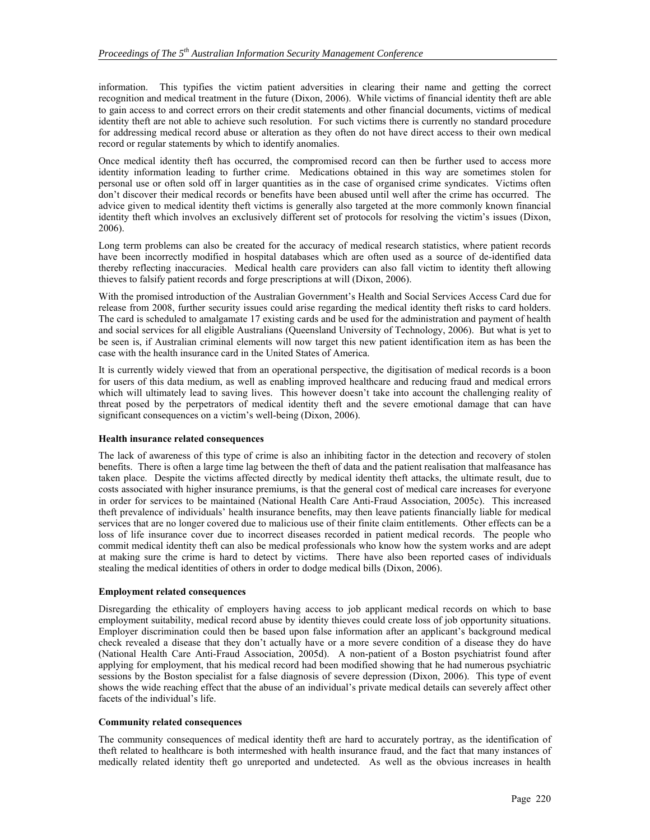information. This typifies the victim patient adversities in clearing their name and getting the correct recognition and medical treatment in the future (Dixon, 2006). While victims of financial identity theft are able to gain access to and correct errors on their credit statements and other financial documents, victims of medical identity theft are not able to achieve such resolution. For such victims there is currently no standard procedure for addressing medical record abuse or alteration as they often do not have direct access to their own medical record or regular statements by which to identify anomalies.

Once medical identity theft has occurred, the compromised record can then be further used to access more identity information leading to further crime. Medications obtained in this way are sometimes stolen for personal use or often sold off in larger quantities as in the case of organised crime syndicates. Victims often don't discover their medical records or benefits have been abused until well after the crime has occurred. The advice given to medical identity theft victims is generally also targeted at the more commonly known financial identity theft which involves an exclusively different set of protocols for resolving the victim's issues (Dixon, 2006).

Long term problems can also be created for the accuracy of medical research statistics, where patient records have been incorrectly modified in hospital databases which are often used as a source of de-identified data thereby reflecting inaccuracies. Medical health care providers can also fall victim to identity theft allowing thieves to falsify patient records and forge prescriptions at will (Dixon, 2006).

With the promised introduction of the Australian Government's Health and Social Services Access Card due for release from 2008, further security issues could arise regarding the medical identity theft risks to card holders. The card is scheduled to amalgamate 17 existing cards and be used for the administration and payment of health and social services for all eligible Australians (Queensland University of Technology, 2006). But what is yet to be seen is, if Australian criminal elements will now target this new patient identification item as has been the case with the health insurance card in the United States of America.

It is currently widely viewed that from an operational perspective, the digitisation of medical records is a boon for users of this data medium, as well as enabling improved healthcare and reducing fraud and medical errors which will ultimately lead to saving lives. This however doesn't take into account the challenging reality of threat posed by the perpetrators of medical identity theft and the severe emotional damage that can have significant consequences on a victim's well-being (Dixon, 2006).

#### **Health insurance related consequences**

The lack of awareness of this type of crime is also an inhibiting factor in the detection and recovery of stolen benefits. There is often a large time lag between the theft of data and the patient realisation that malfeasance has taken place. Despite the victims affected directly by medical identity theft attacks, the ultimate result, due to costs associated with higher insurance premiums, is that the general cost of medical care increases for everyone in order for services to be maintained (National Health Care Anti-Fraud Association, 2005c). This increased theft prevalence of individuals' health insurance benefits, may then leave patients financially liable for medical services that are no longer covered due to malicious use of their finite claim entitlements. Other effects can be a loss of life insurance cover due to incorrect diseases recorded in patient medical records. The people who commit medical identity theft can also be medical professionals who know how the system works and are adept at making sure the crime is hard to detect by victims. There have also been reported cases of individuals stealing the medical identities of others in order to dodge medical bills (Dixon, 2006).

#### **Employment related consequences**

Disregarding the ethicality of employers having access to job applicant medical records on which to base employment suitability, medical record abuse by identity thieves could create loss of job opportunity situations. Employer discrimination could then be based upon false information after an applicant's background medical check revealed a disease that they don't actually have or a more severe condition of a disease they do have (National Health Care Anti-Fraud Association, 2005d). A non-patient of a Boston psychiatrist found after applying for employment, that his medical record had been modified showing that he had numerous psychiatric sessions by the Boston specialist for a false diagnosis of severe depression (Dixon, 2006). This type of event shows the wide reaching effect that the abuse of an individual's private medical details can severely affect other facets of the individual's life.

#### **Community related consequences**

The community consequences of medical identity theft are hard to accurately portray, as the identification of theft related to healthcare is both intermeshed with health insurance fraud, and the fact that many instances of medically related identity theft go unreported and undetected. As well as the obvious increases in health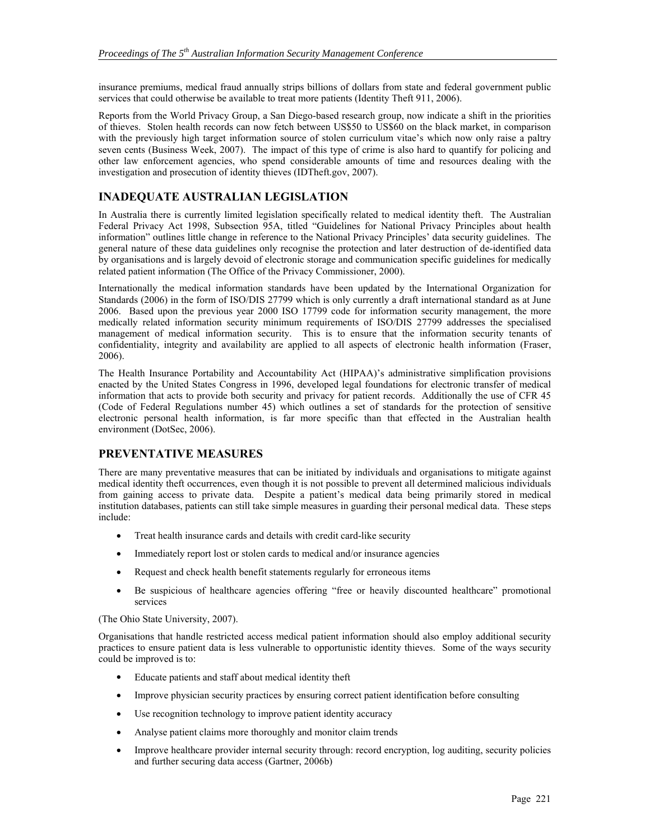insurance premiums, medical fraud annually strips billions of dollars from state and federal government public services that could otherwise be available to treat more patients (Identity Theft 911, 2006).

Reports from the World Privacy Group, a San Diego-based research group, now indicate a shift in the priorities of thieves. Stolen health records can now fetch between US\$50 to US\$60 on the black market, in comparison with the previously high target information source of stolen curriculum vitae's which now only raise a paltry seven cents (Business Week, 2007). The impact of this type of crime is also hard to quantify for policing and other law enforcement agencies, who spend considerable amounts of time and resources dealing with the investigation and prosecution of identity thieves (IDTheft.gov, 2007).

### **INADEQUATE AUSTRALIAN LEGISLATION**

In Australia there is currently limited legislation specifically related to medical identity theft. The Australian Federal Privacy Act 1998, Subsection 95A, titled "Guidelines for National Privacy Principles about health information" outlines little change in reference to the National Privacy Principles' data security guidelines. The general nature of these data guidelines only recognise the protection and later destruction of de-identified data by organisations and is largely devoid of electronic storage and communication specific guidelines for medically related patient information (The Office of the Privacy Commissioner, 2000).

Internationally the medical information standards have been updated by the International Organization for Standards (2006) in the form of ISO/DIS 27799 which is only currently a draft international standard as at June 2006. Based upon the previous year 2000 ISO 17799 code for information security management, the more medically related information security minimum requirements of ISO/DIS 27799 addresses the specialised management of medical information security. This is to ensure that the information security tenants of confidentiality, integrity and availability are applied to all aspects of electronic health information (Fraser, 2006).

The Health Insurance Portability and Accountability Act (HIPAA)'s administrative simplification provisions enacted by the United States Congress in 1996, developed legal foundations for electronic transfer of medical information that acts to provide both security and privacy for patient records. Additionally the use of CFR 45 (Code of Federal Regulations number 45) which outlines a set of standards for the protection of sensitive electronic personal health information, is far more specific than that effected in the Australian health environment (DotSec, 2006).

## **PREVENTATIVE MEASURES**

There are many preventative measures that can be initiated by individuals and organisations to mitigate against medical identity theft occurrences, even though it is not possible to prevent all determined malicious individuals from gaining access to private data. Despite a patient's medical data being primarily stored in medical institution databases, patients can still take simple measures in guarding their personal medical data. These steps include:

- Treat health insurance cards and details with credit card-like security
- Immediately report lost or stolen cards to medical and/or insurance agencies
- Request and check health benefit statements regularly for erroneous items
- Be suspicious of healthcare agencies offering "free or heavily discounted healthcare" promotional services

(The Ohio State University, 2007).

Organisations that handle restricted access medical patient information should also employ additional security practices to ensure patient data is less vulnerable to opportunistic identity thieves. Some of the ways security could be improved is to:

- Educate patients and staff about medical identity theft
- Improve physician security practices by ensuring correct patient identification before consulting
- Use recognition technology to improve patient identity accuracy
- Analyse patient claims more thoroughly and monitor claim trends
- Improve healthcare provider internal security through: record encryption, log auditing, security policies and further securing data access (Gartner, 2006b)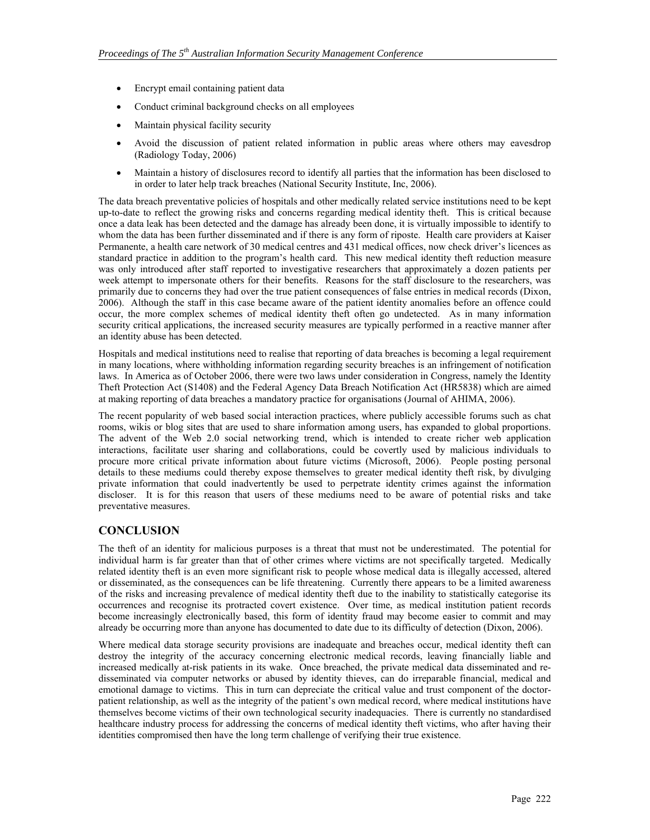- Encrypt email containing patient data
- Conduct criminal background checks on all employees
- Maintain physical facility security
- Avoid the discussion of patient related information in public areas where others may eavesdrop (Radiology Today, 2006)
- Maintain a history of disclosures record to identify all parties that the information has been disclosed to in order to later help track breaches (National Security Institute, Inc, 2006).

The data breach preventative policies of hospitals and other medically related service institutions need to be kept up-to-date to reflect the growing risks and concerns regarding medical identity theft. This is critical because once a data leak has been detected and the damage has already been done, it is virtually impossible to identify to whom the data has been further disseminated and if there is any form of riposte. Health care providers at Kaiser Permanente, a health care network of 30 medical centres and 431 medical offices, now check driver's licences as standard practice in addition to the program's health card. This new medical identity theft reduction measure was only introduced after staff reported to investigative researchers that approximately a dozen patients per week attempt to impersonate others for their benefits. Reasons for the staff disclosure to the researchers, was primarily due to concerns they had over the true patient consequences of false entries in medical records (Dixon, 2006). Although the staff in this case became aware of the patient identity anomalies before an offence could occur, the more complex schemes of medical identity theft often go undetected. As in many information security critical applications, the increased security measures are typically performed in a reactive manner after an identity abuse has been detected.

Hospitals and medical institutions need to realise that reporting of data breaches is becoming a legal requirement in many locations, where withholding information regarding security breaches is an infringement of notification laws. In America as of October 2006, there were two laws under consideration in Congress, namely the Identity Theft Protection Act (S1408) and the Federal Agency Data Breach Notification Act (HR5838) which are aimed at making reporting of data breaches a mandatory practice for organisations (Journal of AHIMA, 2006).

The recent popularity of web based social interaction practices, where publicly accessible forums such as chat rooms, wikis or blog sites that are used to share information among users, has expanded to global proportions. The advent of the Web 2.0 social networking trend, which is intended to create richer web application interactions, facilitate user sharing and collaborations, could be covertly used by malicious individuals to procure more critical private information about future victims (Microsoft, 2006). People posting personal details to these mediums could thereby expose themselves to greater medical identity theft risk, by divulging private information that could inadvertently be used to perpetrate identity crimes against the information discloser. It is for this reason that users of these mediums need to be aware of potential risks and take preventative measures.

## **CONCLUSION**

The theft of an identity for malicious purposes is a threat that must not be underestimated. The potential for individual harm is far greater than that of other crimes where victims are not specifically targeted. Medically related identity theft is an even more significant risk to people whose medical data is illegally accessed, altered or disseminated, as the consequences can be life threatening. Currently there appears to be a limited awareness of the risks and increasing prevalence of medical identity theft due to the inability to statistically categorise its occurrences and recognise its protracted covert existence. Over time, as medical institution patient records become increasingly electronically based, this form of identity fraud may become easier to commit and may already be occurring more than anyone has documented to date due to its difficulty of detection (Dixon, 2006).

Where medical data storage security provisions are inadequate and breaches occur, medical identity theft can destroy the integrity of the accuracy concerning electronic medical records, leaving financially liable and increased medically at-risk patients in its wake. Once breached, the private medical data disseminated and redisseminated via computer networks or abused by identity thieves, can do irreparable financial, medical and emotional damage to victims. This in turn can depreciate the critical value and trust component of the doctorpatient relationship, as well as the integrity of the patient's own medical record, where medical institutions have themselves become victims of their own technological security inadequacies. There is currently no standardised healthcare industry process for addressing the concerns of medical identity theft victims, who after having their identities compromised then have the long term challenge of verifying their true existence.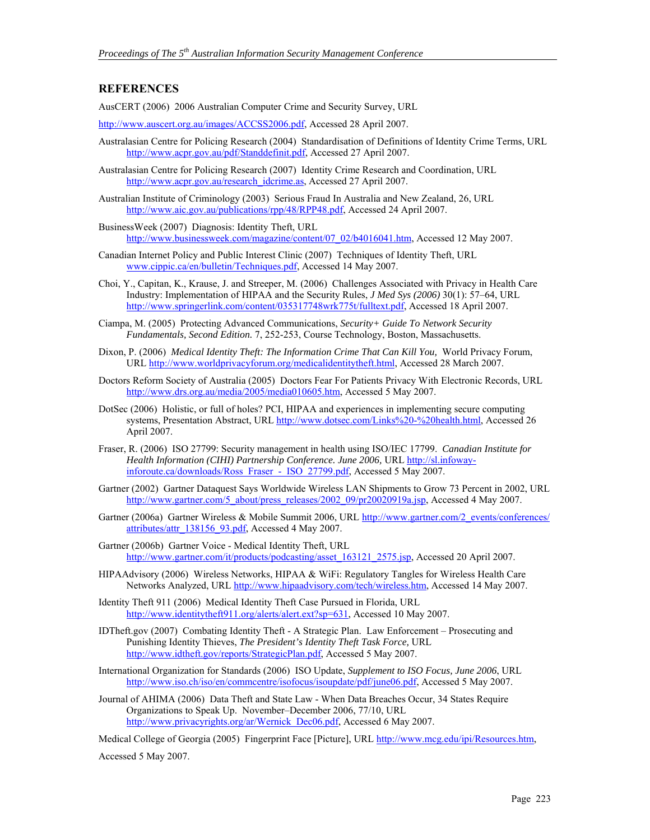### **REFERENCES**

AusCERT (2006) 2006 Australian Computer Crime and Security Survey, URL

http://www.auscert.org.au/images/ACCSS2006.pdf, Accessed 28 April 2007.

- Australasian Centre for Policing Research (2004) Standardisation of Definitions of Identity Crime Terms, URL http://www.acpr.gov.au/pdf/Standdefinit.pdf, Accessed 27 April 2007.
- Australasian Centre for Policing Research (2007) Identity Crime Research and Coordination, URL http://www.acpr.gov.au/research\_idcrime.as, Accessed 27 April 2007.
- Australian Institute of Criminology (2003) Serious Fraud In Australia and New Zealand, 26, URL http://www.aic.gov.au/publications/rpp/48/RPP48.pdf, Accessed 24 April 2007.
- BusinessWeek (2007) Diagnosis: Identity Theft, URL http://www.businessweek.com/magazine/content/07\_02/b4016041.htm, Accessed 12 May 2007.
- Canadian Internet Policy and Public Interest Clinic (2007) Techniques of Identity Theft, URL www.cippic.ca/en/bulletin/Techniques.pdf, Accessed 14 May 2007.
- Choi, Y., Capitan, K., Krause, J. and Streeper, M. (2006) Challenges Associated with Privacy in Health Care Industry: Implementation of HIPAA and the Security Rules, *J Med Sys (2006)* 30(1): 57–64, URL http://www.springerlink.com/content/035317748wrk775t/fulltext.pdf, Accessed 18 April 2007.
- Ciampa, M. (2005) Protecting Advanced Communications, *Security+ Guide To Network Security Fundamentals, Second Edition.* 7, 252-253, Course Technology, Boston, Massachusetts.
- Dixon, P. (2006) *Medical Identity Theft: The Information Crime That Can Kill You,* World Privacy Forum, URL http://www.worldprivacyforum.org/medicalidentitytheft.html, Accessed 28 March 2007.
- Doctors Reform Society of Australia (2005) Doctors Fear For Patients Privacy With Electronic Records, URL http://www.drs.org.au/media/2005/media010605.htm, Accessed 5 May 2007.
- DotSec (2006) Holistic, or full of holes? PCI, HIPAA and experiences in implementing secure computing systems, Presentation Abstract, URL http://www.dotsec.com/Links%20-%20health.html, Accessed 26 April 2007.
- Fraser, R. (2006) ISO 27799: Security management in health using ISO/IEC 17799. *Canadian Institute for*  Health Information (CIHI) Partnership Conference. June 2006, URL http://sl.infowayinforoute.ca/downloads/Ross\_Fraser - ISO\_27799.pdf, Accessed 5 May 2007.
- Gartner (2002) Gartner Dataquest Says Worldwide Wireless LAN Shipments to Grow 73 Percent in 2002, URL http://www.gartner.com/5\_about/press\_releases/2002\_09/pr20020919a.jsp, Accessed 4 May 2007.
- Gartner (2006a) Gartner Wireless & Mobile Summit 2006, URL http://www.gartner.com/2\_events/conferences/ attributes/attr\_138156\_93.pdf, Accessed 4 May 2007.
- Gartner (2006b) Gartner Voice Medical Identity Theft, URL http://www.gartner.com/it/products/podcasting/asset\_163121\_2575.jsp, Accessed 20 April 2007.
- HIPAAdvisory (2006) Wireless Networks, HIPAA & WiFi: Regulatory Tangles for Wireless Health Care Networks Analyzed, URL http://www.hipaadvisory.com/tech/wireless.htm, Accessed 14 May 2007.
- Identity Theft 911 (2006) Medical Identity Theft Case Pursued in Florida, URL http://www.identitytheft911.org/alerts/alert.ext?sp=631, Accessed 10 May 2007.
- IDTheft.gov (2007) Combating Identity Theft A Strategic Plan. Law Enforcement Prosecuting and Punishing Identity Thieves, *The President's Identity Theft Task Force,* URL http://www.idtheft.gov/reports/StrategicPlan.pdf, Accessed 5 May 2007.
- International Organization for Standards (2006) ISO Update, *Supplement to ISO Focus, June 2006*, URL http://www.iso.ch/iso/en/commcentre/isofocus/isoupdate/pdf/june06.pdf, Accessed 5 May 2007.
- Journal of AHIMA (2006) Data Theft and State Law When Data Breaches Occur, 34 States Require Organizations to Speak Up. November–December 2006, 77/10, URL http://www.privacyrights.org/ar/Wernick\_Dec06.pdf, Accessed 6 May 2007.

Medical College of Georgia (2005) Fingerprint Face [Picture], URL http://www.mcg.edu/ipi/Resources.htm,

Accessed 5 May 2007.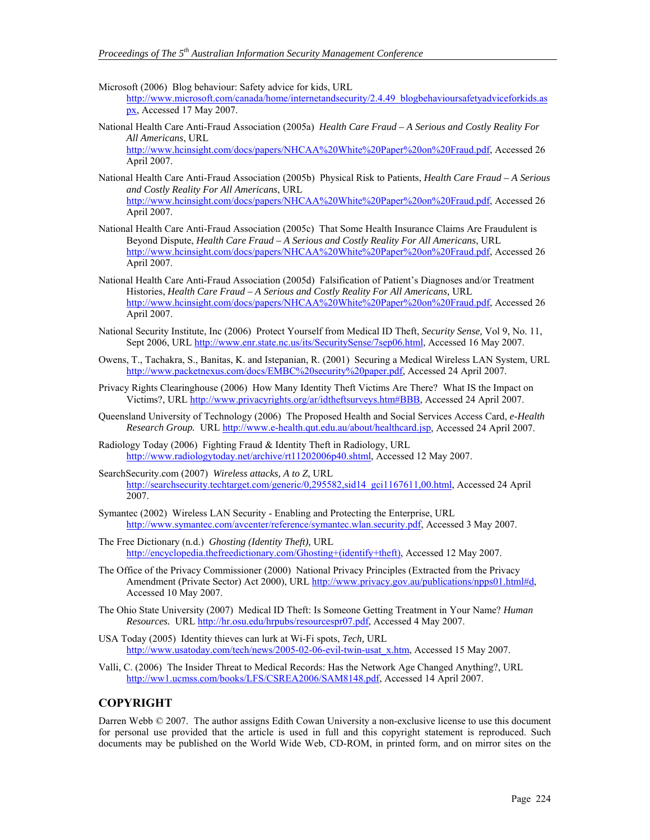- Microsoft (2006) Blog behaviour: Safety advice for kids, URL http://www.microsoft.com/canada/home/internetandsecurity/2.4.49\_blogbehavioursafetyadviceforkids.as px, Accessed 17 May 2007.
- National Health Care Anti-Fraud Association (2005a) *Health Care Fraud A Serious and Costly Reality For All Americans*, URL http://www.hcinsight.com/docs/papers/NHCAA%20White%20Paper%20on%20Fraud.pdf, Accessed 26 April 2007.
- National Health Care Anti-Fraud Association (2005b) Physical Risk to Patients, *Health Care Fraud A Serious and Costly Reality For All Americans*, URL http://www.hcinsight.com/docs/papers/NHCAA%20White%20Paper%20on%20Fraud.pdf, Accessed 26 April 2007.
- National Health Care Anti-Fraud Association (2005c) That Some Health Insurance Claims Are Fraudulent is Beyond Dispute, *Health Care Fraud – A Serious and Costly Reality For All Americans*, URL http://www.hcinsight.com/docs/papers/NHCAA%20White%20Paper%20on%20Fraud.pdf, Accessed 26 April 2007.
- National Health Care Anti-Fraud Association (2005d) Falsification of Patient's Diagnoses and/or Treatment Histories, *Health Care Fraud – A Serious and Costly Reality For All Americans,* URL http://www.hcinsight.com/docs/papers/NHCAA%20White%20Paper%20on%20Fraud.pdf, Accessed 26 April 2007.
- National Security Institute, Inc (2006) Protect Yourself from Medical ID Theft, *Security Sense,* Vol 9, No. 11, Sept 2006, URL http://www.enr.state.nc.us/its/SecuritySense/7sep06.html, Accessed 16 May 2007.
- Owens, T., Tachakra, S., Banitas, K. and Istepanian, R. (2001) Securing a Medical Wireless LAN System, URL http://www.packetnexus.com/docs/EMBC%20security%20paper.pdf, Accessed 24 April 2007.
- Privacy Rights Clearinghouse (2006) How Many Identity Theft Victims Are There? What IS the Impact on Victims?, URL http://www.privacyrights.org/ar/idtheftsurveys.htm#BBB, Accessed 24 April 2007.
- Queensland University of Technology (2006) The Proposed Health and Social Services Access Card, *e-Health Research Group.* URL http://www.e-health.qut.edu.au/about/healthcard.jsp, Accessed 24 April 2007.
- Radiology Today (2006) Fighting Fraud & Identity Theft in Radiology, URL http://www.radiologytoday.net/archive/rt11202006p40.shtml, Accessed 12 May 2007.
- SearchSecurity.com (2007) *Wireless attacks, A to Z,* URL http://searchsecurity.techtarget.com/generic/0,295582,sid14\_gci1167611,00.html, Accessed 24 April 2007.
- Symantec (2002) Wireless LAN Security Enabling and Protecting the Enterprise, URL http://www.symantec.com/avcenter/reference/symantec.wlan.security.pdf, Accessed 3 May 2007.
- The Free Dictionary (n.d.) *Ghosting (Identity Theft),* URL http://encyclopedia.thefreedictionary.com/Ghosting+(identify+theft), Accessed 12 May 2007.
- The Office of the Privacy Commissioner (2000) National Privacy Principles (Extracted from the Privacy Amendment (Private Sector) Act 2000), URL http://www.privacy.gov.au/publications/npps01.html#d, Accessed 10 May 2007.
- The Ohio State University (2007) Medical ID Theft: Is Someone Getting Treatment in Your Name? *Human Resources.* URL http://hr.osu.edu/hrpubs/resourcespr07.pdf, Accessed 4 May 2007.
- USA Today (2005) Identity thieves can lurk at Wi-Fi spots, *Tech,* URL http://www.usatoday.com/tech/news/2005-02-06-evil-twin-usat\_x.htm, Accessed 15 May 2007.
- Valli, C. (2006) The Insider Threat to Medical Records: Has the Network Age Changed Anything?, URL http://ww1.ucmss.com/books/LFS/CSREA2006/SAM8148.pdf, Accessed 14 April 2007.

#### **COPYRIGHT**

Darren Webb © 2007. The author assigns Edith Cowan University a non-exclusive license to use this document for personal use provided that the article is used in full and this copyright statement is reproduced. Such documents may be published on the World Wide Web, CD-ROM, in printed form, and on mirror sites on the